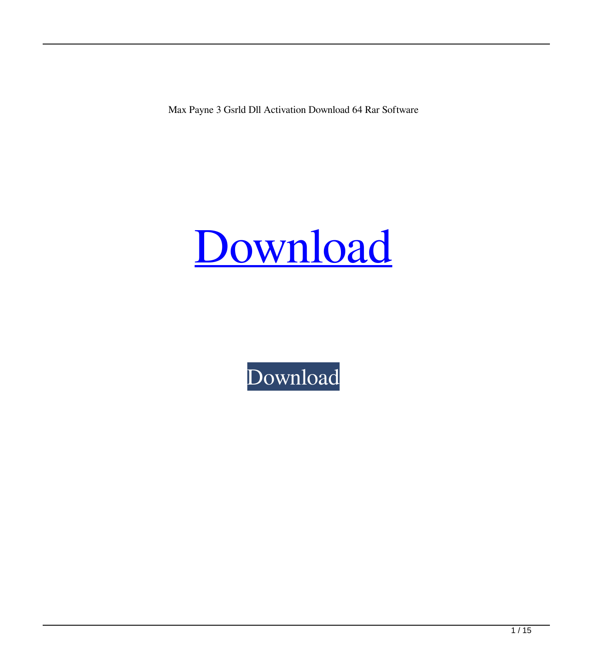Max Payne 3 Gsrld Dll Activation Download 64 Rar Software



[Download](http://evacdir.com/herbalist.extenuating/worzel/?quietdrive=stemware&TWF4IHBheW5lIDMgZ3NybGQgLmRsbATWF=ZG93bmxvYWR8blU5TVdGdllYeDhNVFkxTWpjME1EZzJObng4TWpVM05IeDhLRTBwSUhKbFlXUXRZbXh2WnlCYlJtRnpkQ0JIUlU1ZA)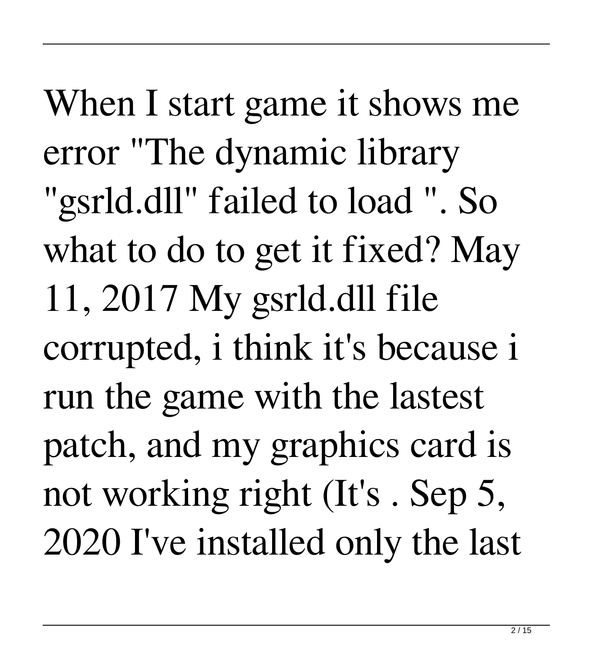When I start game it shows me error "The dynamic library "gsrld.dll" failed to load ". So what to do to get it fixed? May 11, 2017 My gsrld.dll file corrupted, i think it's because i run the game with the lastest patch, and my graphics card is not working right (It's . Sep 5, 2020 I've installed only the last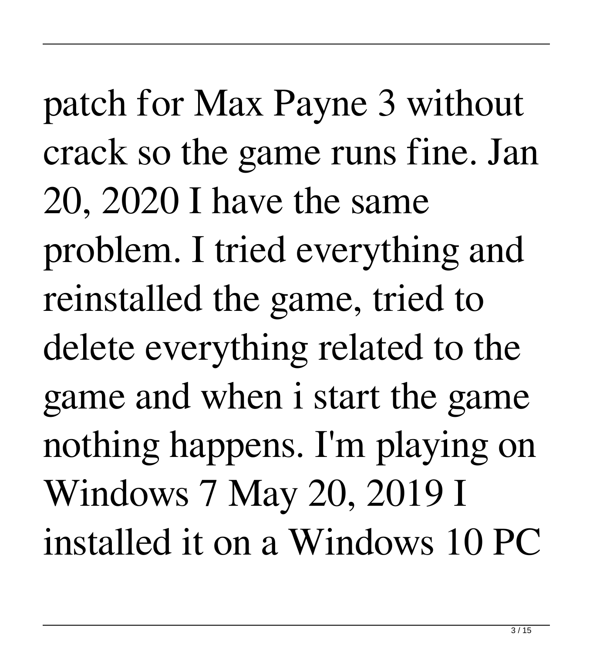patch for Max Payne 3 without crack so the game runs fine. Jan 20, 2020 I have the same problem. I tried everything and reinstalled the game, tried to delete everything related to the game and when i start the game nothing happens. I'm playing on Windows 7 May 20, 2019 I installed it on a Windows 10 PC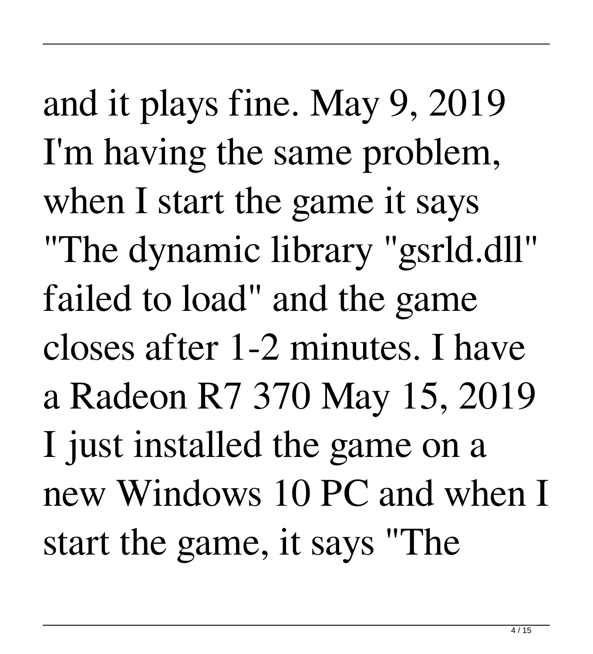and it plays fine. May 9, 2019 I'm having the same problem, when I start the game it says "The dynamic library "gsrld.dll" failed to load" and the game closes after 1-2 minutes. I have a Radeon R7 370 May 15, 2019 I just installed the game on a new Windows 10 PC and when I start the game, it says "The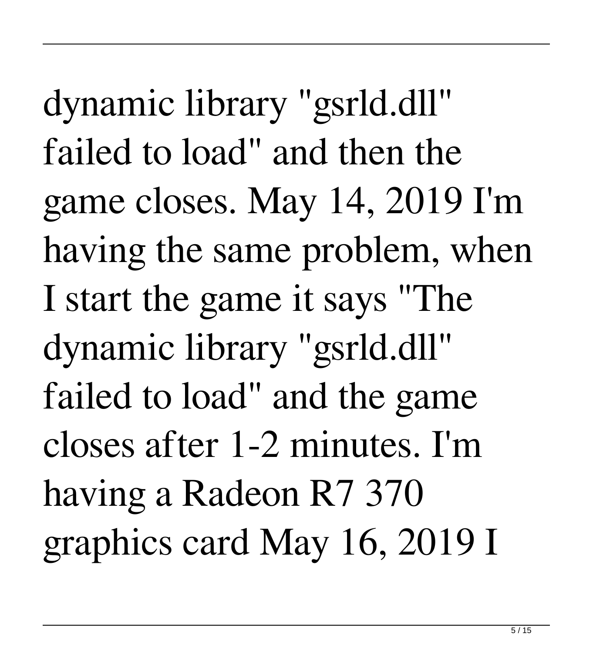dynamic library "gsrld.dll" failed to load" and then the game closes. May 14, 2019 I'm having the same problem, when I start the game it says "The dynamic library "gsrld.dll" failed to load" and the game closes after 1-2 minutes. I'm having a Radeon R7 370 graphics card May 16, 2019 I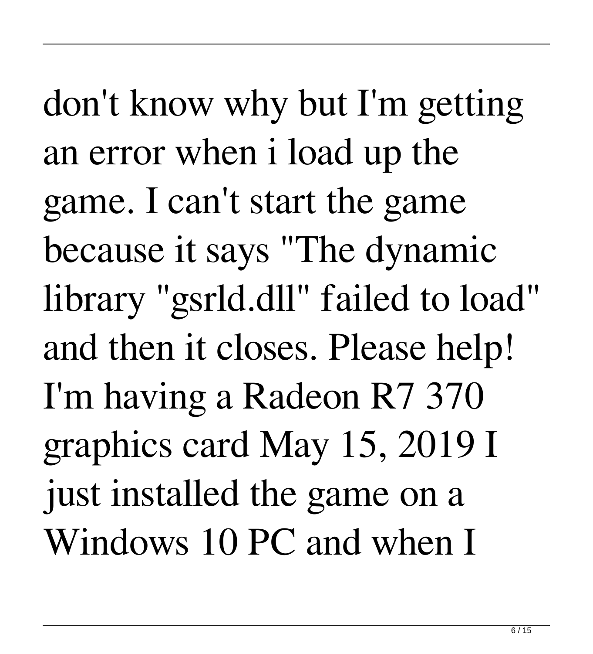don't know why but I'm getting an error when i load up the game. I can't start the game because it says "The dynamic library "gsrld.dll" failed to load" and then it closes. Please help! I'm having a Radeon R7 370 graphics card May 15, 2019 I just installed the game on a Windows 10 PC and when I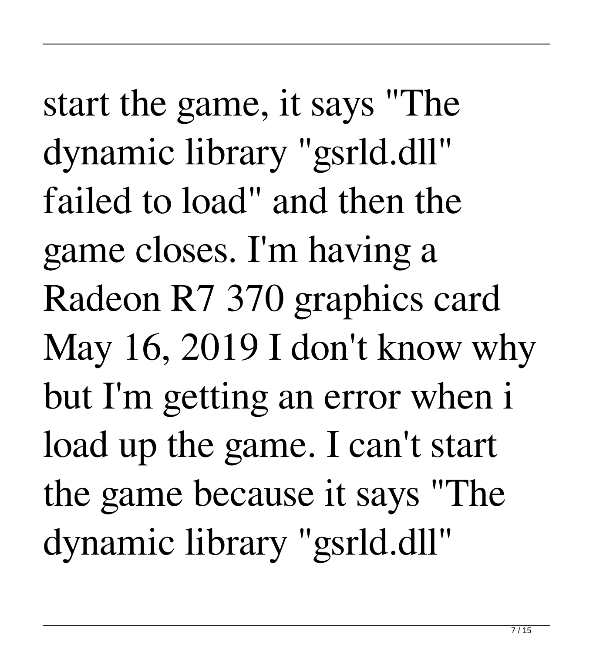start the game, it says "The dynamic library "gsrld.dll" failed to load" and then the game closes. I'm having a Radeon R7 370 graphics card May 16, 2019 I don't know why but I'm getting an error when i load up the game. I can't start the game because it says "The dynamic library "gsrld.dll"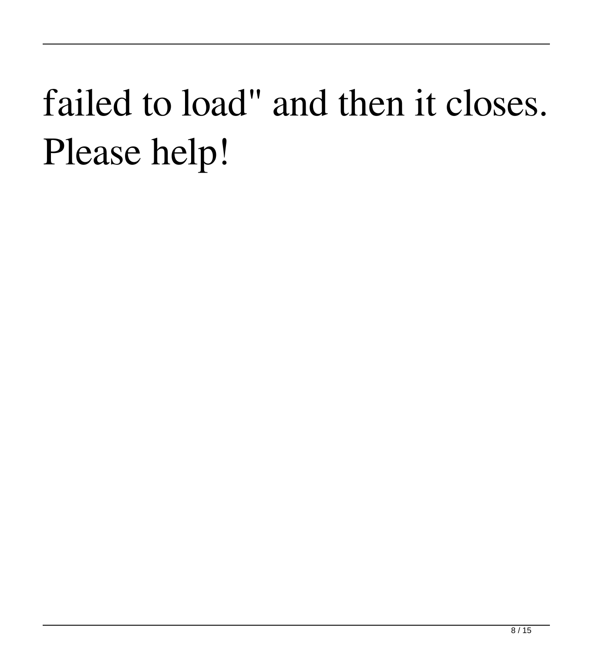## failed to load" and then it closes. Please help!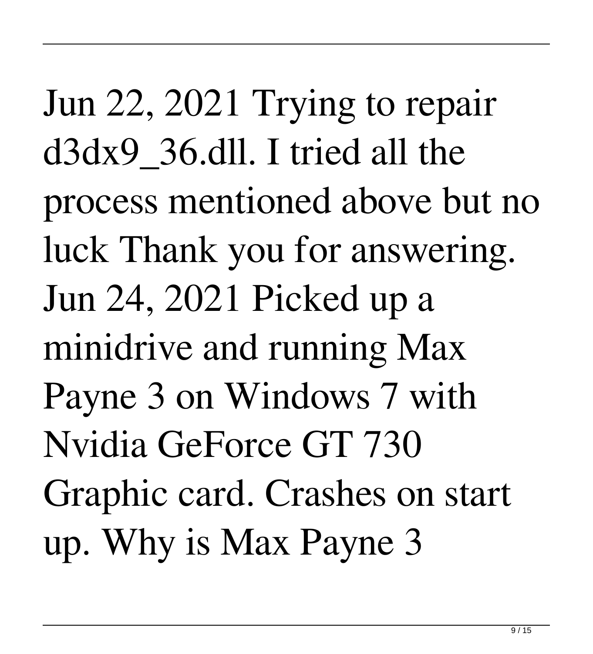Jun 22, 2021 Trying to repair d3dx9\_36.dll. I tried all the process mentioned above but no luck Thank you for answering. Jun 24, 2021 Picked up a minidrive and running Max Payne 3 on Windows 7 with Nvidia GeForce GT 730 Graphic card. Crashes on start up. Why is Max Payne 3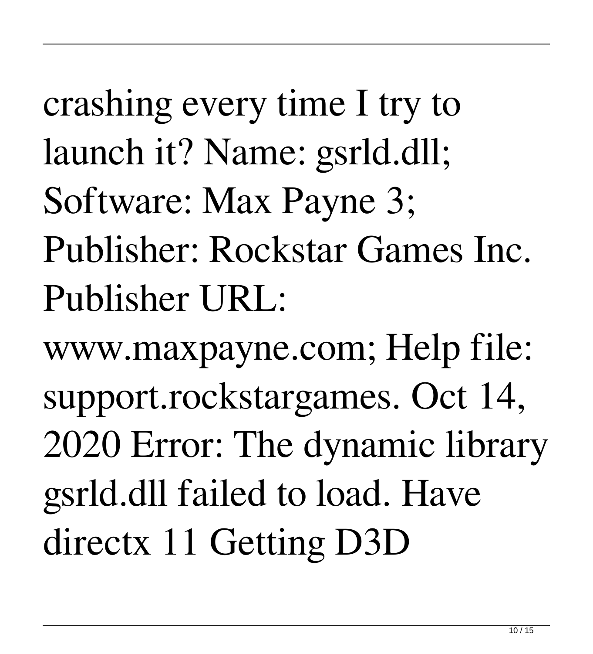crashing every time I try to launch it? Name: gsrld.dll; Software: Max Payne 3; Publisher: Rockstar Games Inc. Publisher URL:

www.maxpayne.com; Help file: support.rockstargames. Oct 14, 2020 Error: The dynamic library gsrld.dll failed to load. Have directx 11 Getting D3D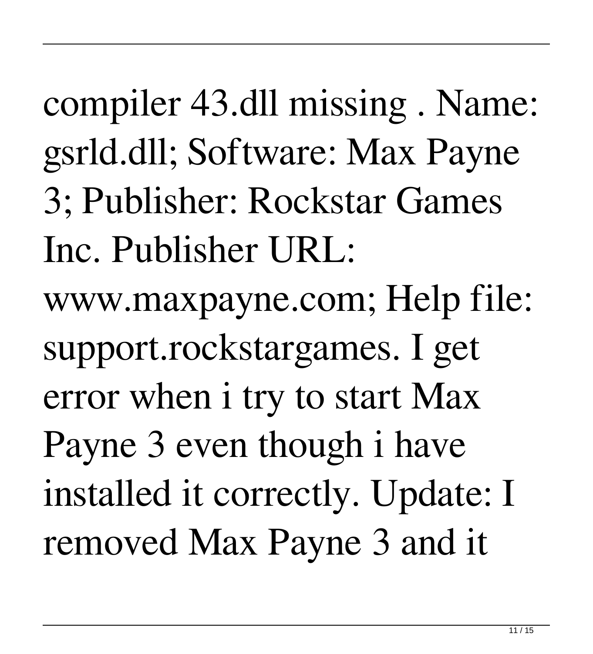compiler 43.dll missing . Name: gsrld.dll; Software: Max Payne 3; Publisher: Rockstar Games Inc. Publisher URL: www.maxpayne.com; Help file: support.rockstargames. I get error when i try to start Max Payne 3 even though i have installed it correctly. Update: I removed Max Payne 3 and it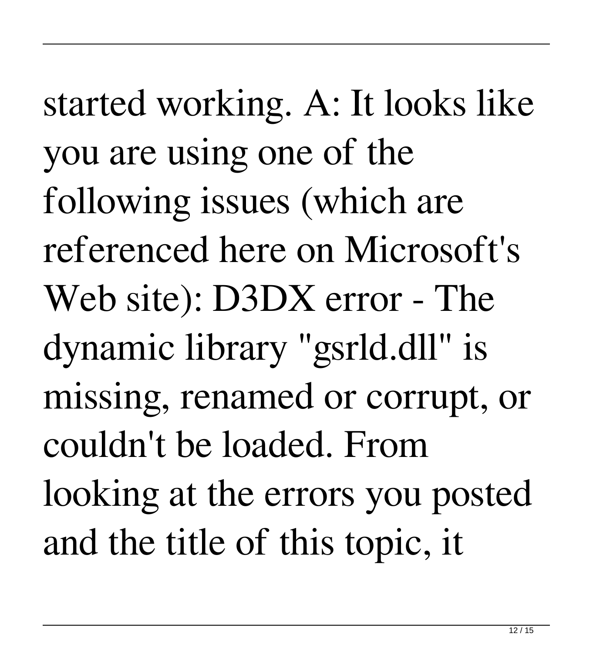started working. A: It looks like you are using one of the following issues (which are referenced here on Microsoft's Web site): D3DX error - The dynamic library "gsrld.dll" is missing, renamed or corrupt, or couldn't be loaded. From looking at the errors you posted and the title of this topic, it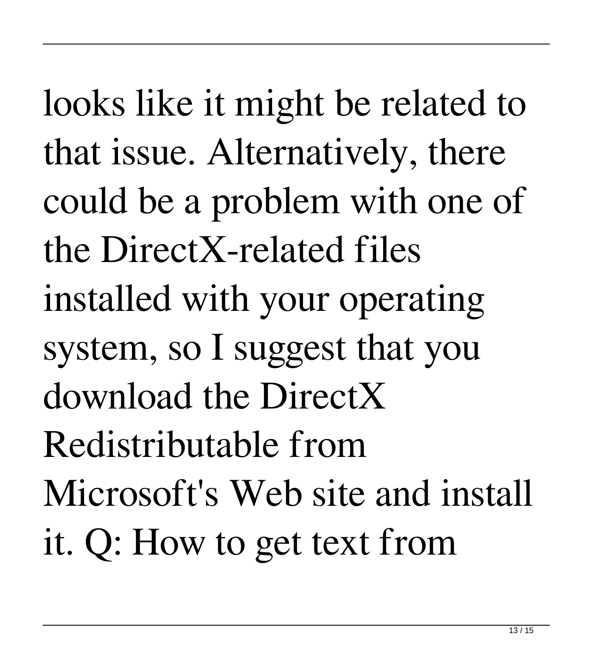looks like it might be related to that issue. Alternatively, there could be a problem with one of the DirectX-related files installed with your operating system, so I suggest that you download the DirectX Redistributable from Microsoft's Web site and install it. Q: How to get text from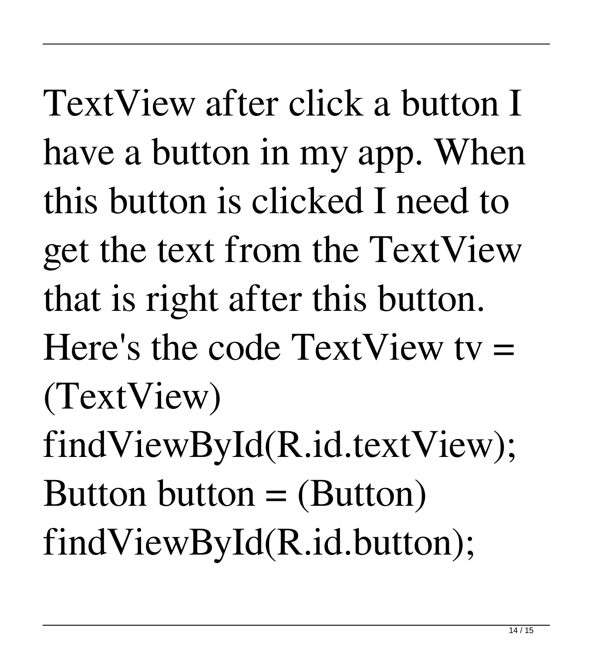TextView after click a button I have a button in my app. When this button is clicked I need to get the text from the TextView that is right after this button. Here's the code  $TextView$  ty  $=$ (TextView) findViewById(R.id.textView); Button button  $=$  (Button) findViewById(R.id.button);